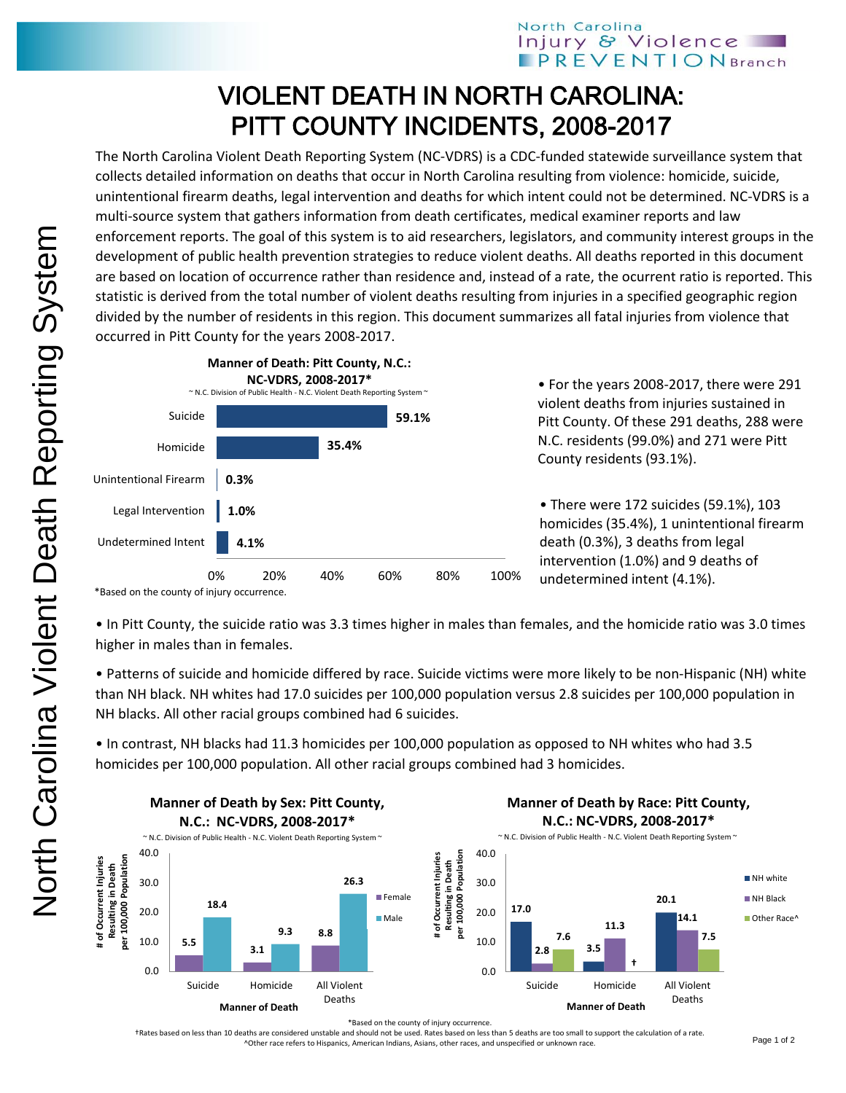## VIOLENT DEATH IN NORTH CAROLINA: PITT COUNTY INCIDENTS, 2008-2017

The North Carolina Violent Death Reporting System (NC-VDRS) is a CDC-funded statewide surveillance system that collects detailed information on deaths that occur in North Carolina resulting from violence: homicide, suicide, unintentional firearm deaths, legal intervention and deaths for which intent could not be determined. NC-VDRS is a multi-source system that gathers information from death certificates, medical examiner reports and law enforcement reports. The goal of this system is to aid researchers, legislators, and community interest groups in the development of public health prevention strategies to reduce violent deaths. All deaths reported in this document are based on location of occurrence rather than residence and, instead of a rate, the ocurrent ratio is reported. This statistic is derived from the total number of violent deaths resulting from injuries in a specified geographic region divided by the number of residents in this region. This document summarizes all fatal injuries from violence that occurred in Pitt County for the years 2008-2017.



• For the years 2008-2017, there were 291 violent deaths from injuries sustained in Pitt County. Of these 291 deaths, 288 were N.C. residents (99.0%) and 271 were Pitt County residents (93.1%).

• There were 172 suicides (59.1%), 103 homicides (35.4%), 1 unintentional firearm death (0.3%), 3 deaths from legal intervention (1.0%) and 9 deaths of undetermined intent (4.1%).

• In Pitt County, the suicide ratio was 3.3 times higher in males than females, and the homicide ratio was 3.0 times higher in males than in females.

• Patterns of suicide and homicide differed by race. Suicide victims were more likely to be non-Hispanic (NH) white than NH black. NH whites had 17.0 suicides per 100,000 population versus 2.8 suicides per 100,000 population in NH blacks. All other racial groups combined had 6 suicides.

• In contrast, NH blacks had 11.3 homicides per 100,000 population as opposed to NH whites who had 3.5 homicides per 100,000 population. All other racial groups combined had 3 homicides.



\*Based on the county of injury occurrence.

†Rates based on less than 10 deaths are considered unstable and should not be used. Rates based on less than 5 deaths are too small to support the calculation of a rate. ^Other race refers to Hispanics, American Indians, Asians, other races, and unspecified or unknown race.

<sup>\*</sup>Based on the county of injury occurrence.